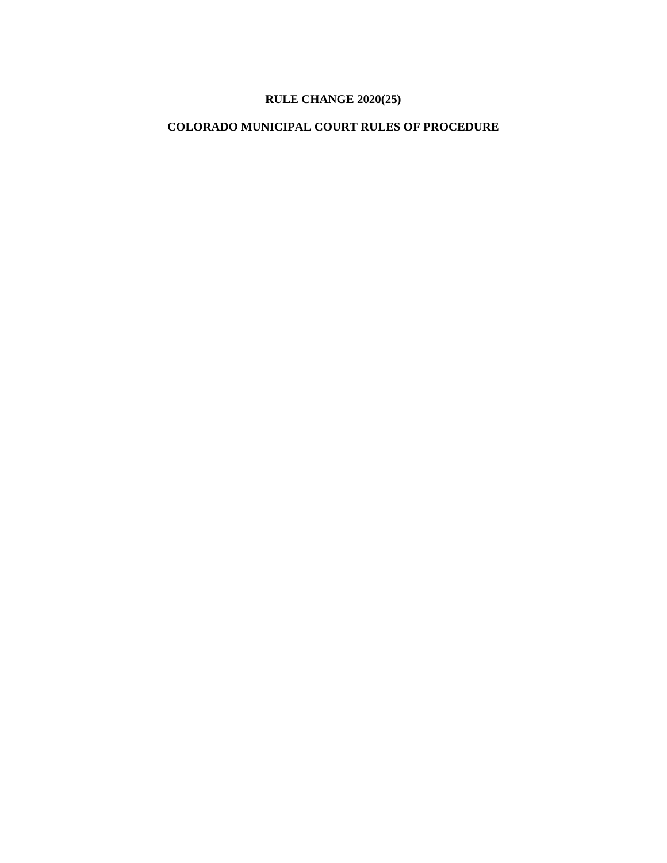# **RULE CHANGE 2020(25)**

## **COLORADO MUNICIPAL COURT RULES OF PROCEDURE**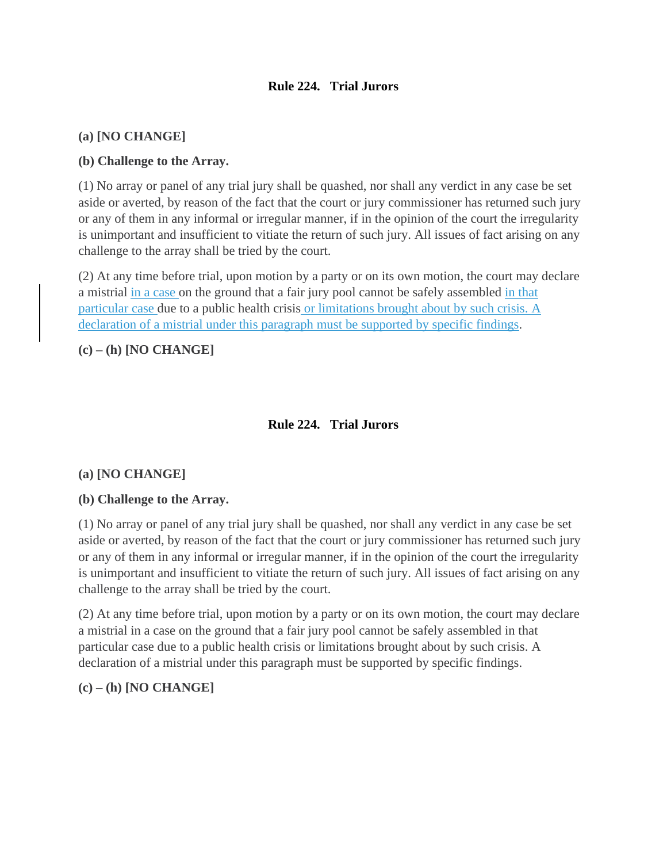## **Rule 224. Trial Jurors**

### **(a) [NO CHANGE]**

### **(b) Challenge to the Array.**

(1) No array or panel of any trial jury shall be quashed, nor shall any verdict in any case be set aside or averted, by reason of the fact that the court or jury commissioner has returned such jury or any of them in any informal or irregular manner, if in the opinion of the court the irregularity is unimportant and insufficient to vitiate the return of such jury. All issues of fact arising on any challenge to the array shall be tried by the court.

(2) At any time before trial, upon motion by a party or on its own motion, the court may declare a mistrial in a case on the ground that a fair jury pool cannot be safely assembled in that particular case due to a public health crisis or limitations brought about by such crisis. A declaration of a mistrial under this paragraph must be supported by specific findings.

**(c) – (h) [NO CHANGE]**

## **Rule 224. Trial Jurors**

### **(a) [NO CHANGE]**

### **(b) Challenge to the Array.**

(1) No array or panel of any trial jury shall be quashed, nor shall any verdict in any case be set aside or averted, by reason of the fact that the court or jury commissioner has returned such jury or any of them in any informal or irregular manner, if in the opinion of the court the irregularity is unimportant and insufficient to vitiate the return of such jury. All issues of fact arising on any challenge to the array shall be tried by the court.

(2) At any time before trial, upon motion by a party or on its own motion, the court may declare a mistrial in a case on the ground that a fair jury pool cannot be safely assembled in that particular case due to a public health crisis or limitations brought about by such crisis. A declaration of a mistrial under this paragraph must be supported by specific findings.

### **(c) – (h) [NO CHANGE]**